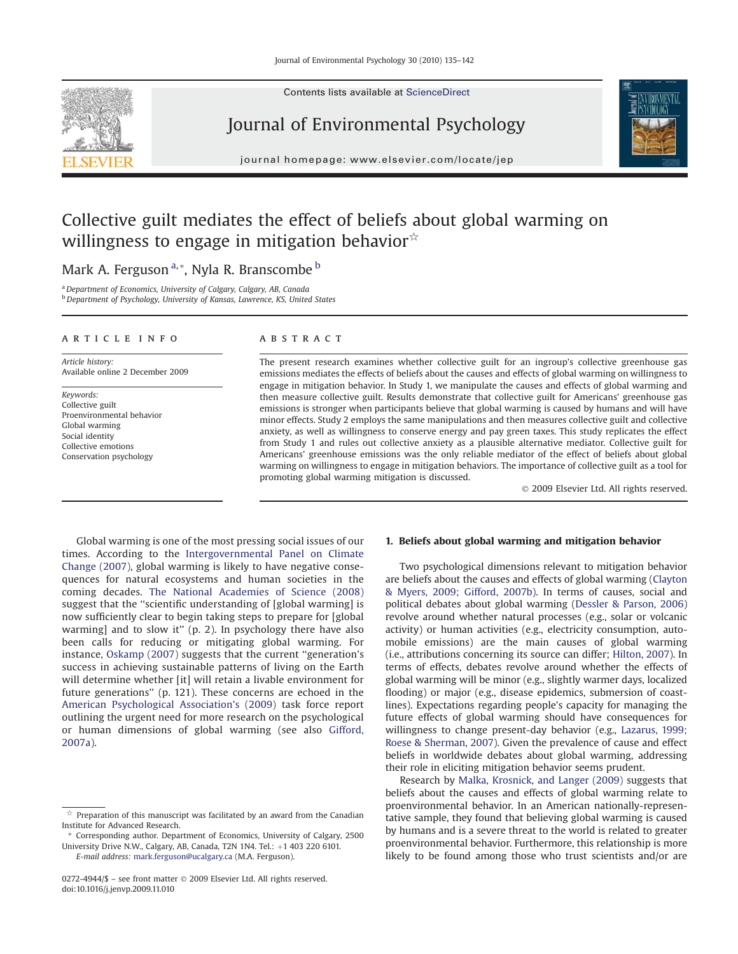

# Journal of Environmental Psychology

journal homepage: www.elsevier.com/locate/jep



# Collective guilt mediates the effect of beliefs about global warming on willingness to engage in mitigation behavior $\dot{\alpha}$

# Mark A. Ferguson<sup>a,\*</sup>, Nyla R. Branscombe<sup>b</sup>

<sup>a</sup> Department of Economics, University of Calgary, Calgary, AB, Canada <sup>b</sup> Department of Psychology, University of Kansas, Lawrence, KS, United States

## article info

Article history: Available online 2 December 2009

Keywords: Collective guilt Proenvironmental behavior Global warming Social identity Collective emotions Conservation psychology

#### **ABSTRACT**

The present research examines whether collective guilt for an ingroup's collective greenhouse gas emissions mediates the effects of beliefs about the causes and effects of global warming on willingness to engage in mitigation behavior. In Study 1, we manipulate the causes and effects of global warming and then measure collective guilt. Results demonstrate that collective guilt for Americans' greenhouse gas emissions is stronger when participants believe that global warming is caused by humans and will have minor effects. Study 2 employs the same manipulations and then measures collective guilt and collective anxiety, as well as willingness to conserve energy and pay green taxes. This study replicates the effect from Study 1 and rules out collective anxiety as a plausible alternative mediator. Collective guilt for Americans' greenhouse emissions was the only reliable mediator of the effect of beliefs about global warming on willingness to engage in mitigation behaviors. The importance of collective guilt as a tool for promoting global warming mitigation is discussed.

- 2009 Elsevier Ltd. All rights reserved.

Global warming is one of the most pressing social issues of our times. According to the Intergovernmental Panel on Climate Change (2007), global warming is likely to have negative consequences for natural ecosystems and human societies in the coming decades. The National Academies of Science (2008) suggest that the ''scientific understanding of [global warming] is now sufficiently clear to begin taking steps to prepare for [global warming] and to slow it" (p. 2). In psychology there have also been calls for reducing or mitigating global warming. For instance, Oskamp (2007) suggests that the current ''generation's success in achieving sustainable patterns of living on the Earth will determine whether [it] will retain a livable environment for future generations'' (p. 121). These concerns are echoed in the American Psychological Association's (2009) task force report outlining the urgent need for more research on the psychological or human dimensions of global warming (see also Gifford, 2007a).

Corresponding author. Department of Economics, University of Calgary, 2500 University Drive N.W., Calgary, AB, Canada, T2N 1N4. Tel.:  $+1$  403 220 6101. E-mail address: mark.ferguson@ucalgary.ca (M.A. Ferguson).

# 1. Beliefs about global warming and mitigation behavior

Two psychological dimensions relevant to mitigation behavior are beliefs about the causes and effects of global warming (Clayton & Myers, 2009; Gifford, 2007b). In terms of causes, social and political debates about global warming (Dessler & Parson, 2006) revolve around whether natural processes (e.g., solar or volcanic activity) or human activities (e.g., electricity consumption, automobile emissions) are the main causes of global warming (i.e., attributions concerning its source can differ; Hilton, 2007). In terms of effects, debates revolve around whether the effects of global warming will be minor (e.g., slightly warmer days, localized flooding) or major (e.g., disease epidemics, submersion of coastlines). Expectations regarding people's capacity for managing the future effects of global warming should have consequences for willingness to change present-day behavior (e.g., Lazarus, 1999; Roese & Sherman, 2007). Given the prevalence of cause and effect beliefs in worldwide debates about global warming, addressing their role in eliciting mitigation behavior seems prudent.

Research by Malka, Krosnick, and Langer (2009) suggests that beliefs about the causes and effects of global warming relate to proenvironmental behavior. In an American nationally-representative sample, they found that believing global warming is caused by humans and is a severe threat to the world is related to greater proenvironmental behavior. Furthermore, this relationship is more likely to be found among those who trust scientists and/or are

 $\overrightarrow{x}$  Preparation of this manuscript was facilitated by an award from the Canadian Institute for Advanced Research.

<sup>0272-4944/\$ –</sup> see front matter © 2009 Elsevier Ltd. All rights reserved. doi:10.1016/j.jenvp.2009.11.010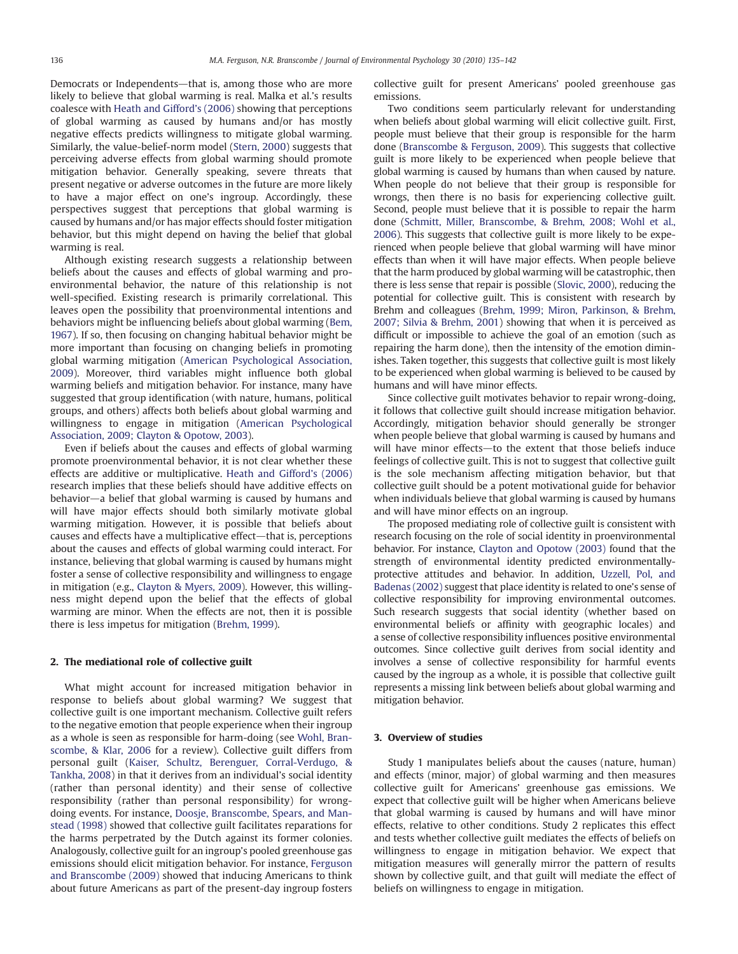Democrats or Independents—that is, among those who are more likely to believe that global warming is real. Malka et al.'s results coalesce with Heath and Gifford's (2006) showing that perceptions of global warming as caused by humans and/or has mostly negative effects predicts willingness to mitigate global warming. Similarly, the value-belief-norm model (Stern, 2000) suggests that perceiving adverse effects from global warming should promote mitigation behavior. Generally speaking, severe threats that present negative or adverse outcomes in the future are more likely to have a major effect on one's ingroup. Accordingly, these perspectives suggest that perceptions that global warming is caused by humans and/or has major effects should foster mitigation behavior, but this might depend on having the belief that global warming is real.

Although existing research suggests a relationship between beliefs about the causes and effects of global warming and proenvironmental behavior, the nature of this relationship is not well-specified. Existing research is primarily correlational. This leaves open the possibility that proenvironmental intentions and behaviors might be influencing beliefs about global warming (Bem, 1967). If so, then focusing on changing habitual behavior might be more important than focusing on changing beliefs in promoting global warming mitigation (American Psychological Association, 2009). Moreover, third variables might influence both global warming beliefs and mitigation behavior. For instance, many have suggested that group identification (with nature, humans, political groups, and others) affects both beliefs about global warming and willingness to engage in mitigation (American Psychological Association, 2009; Clayton & Opotow, 2003).

Even if beliefs about the causes and effects of global warming promote proenvironmental behavior, it is not clear whether these effects are additive or multiplicative. Heath and Gifford's (2006) research implies that these beliefs should have additive effects on behavior—a belief that global warming is caused by humans and will have major effects should both similarly motivate global warming mitigation. However, it is possible that beliefs about causes and effects have a multiplicative effect—that is, perceptions about the causes and effects of global warming could interact. For instance, believing that global warming is caused by humans might foster a sense of collective responsibility and willingness to engage in mitigation (e.g., Clayton & Myers, 2009). However, this willingness might depend upon the belief that the effects of global warming are minor. When the effects are not, then it is possible there is less impetus for mitigation (Brehm, 1999).

#### 2. The mediational role of collective guilt

What might account for increased mitigation behavior in response to beliefs about global warming? We suggest that collective guilt is one important mechanism. Collective guilt refers to the negative emotion that people experience when their ingroup as a whole is seen as responsible for harm-doing (see Wohl, Branscombe, & Klar, 2006 for a review). Collective guilt differs from personal guilt (Kaiser, Schultz, Berenguer, Corral-Verdugo, & Tankha, 2008) in that it derives from an individual's social identity (rather than personal identity) and their sense of collective responsibility (rather than personal responsibility) for wrongdoing events. For instance, Doosje, Branscombe, Spears, and Manstead (1998) showed that collective guilt facilitates reparations for the harms perpetrated by the Dutch against its former colonies. Analogously, collective guilt for an ingroup's pooled greenhouse gas emissions should elicit mitigation behavior. For instance, Ferguson and Branscombe (2009) showed that inducing Americans to think about future Americans as part of the present-day ingroup fosters

collective guilt for present Americans' pooled greenhouse gas emissions.

Two conditions seem particularly relevant for understanding when beliefs about global warming will elicit collective guilt. First, people must believe that their group is responsible for the harm done (Branscombe & Ferguson, 2009). This suggests that collective guilt is more likely to be experienced when people believe that global warming is caused by humans than when caused by nature. When people do not believe that their group is responsible for wrongs, then there is no basis for experiencing collective guilt. Second, people must believe that it is possible to repair the harm done (Schmitt, Miller, Branscombe, & Brehm, 2008; Wohl et al., 2006). This suggests that collective guilt is more likely to be experienced when people believe that global warming will have minor effects than when it will have major effects. When people believe that the harm produced by global warming will be catastrophic, then there is less sense that repair is possible (Slovic, 2000), reducing the potential for collective guilt. This is consistent with research by Brehm and colleagues (Brehm, 1999; Miron, Parkinson, & Brehm, 2007; Silvia & Brehm, 2001) showing that when it is perceived as difficult or impossible to achieve the goal of an emotion (such as repairing the harm done), then the intensity of the emotion diminishes. Taken together, this suggests that collective guilt is most likely to be experienced when global warming is believed to be caused by humans and will have minor effects.

Since collective guilt motivates behavior to repair wrong-doing, it follows that collective guilt should increase mitigation behavior. Accordingly, mitigation behavior should generally be stronger when people believe that global warming is caused by humans and will have minor effects-to the extent that those beliefs induce feelings of collective guilt. This is not to suggest that collective guilt is the sole mechanism affecting mitigation behavior, but that collective guilt should be a potent motivational guide for behavior when individuals believe that global warming is caused by humans and will have minor effects on an ingroup.

The proposed mediating role of collective guilt is consistent with research focusing on the role of social identity in proenvironmental behavior. For instance, Clayton and Opotow (2003) found that the strength of environmental identity predicted environmentallyprotective attitudes and behavior. In addition, Uzzell, Pol, and Badenas (2002) suggest that place identity is related to one's sense of collective responsibility for improving environmental outcomes. Such research suggests that social identity (whether based on environmental beliefs or affinity with geographic locales) and a sense of collective responsibility influences positive environmental outcomes. Since collective guilt derives from social identity and involves a sense of collective responsibility for harmful events caused by the ingroup as a whole, it is possible that collective guilt represents a missing link between beliefs about global warming and mitigation behavior.

#### 3. Overview of studies

Study 1 manipulates beliefs about the causes (nature, human) and effects (minor, major) of global warming and then measures collective guilt for Americans' greenhouse gas emissions. We expect that collective guilt will be higher when Americans believe that global warming is caused by humans and will have minor effects, relative to other conditions. Study 2 replicates this effect and tests whether collective guilt mediates the effects of beliefs on willingness to engage in mitigation behavior. We expect that mitigation measures will generally mirror the pattern of results shown by collective guilt, and that guilt will mediate the effect of beliefs on willingness to engage in mitigation.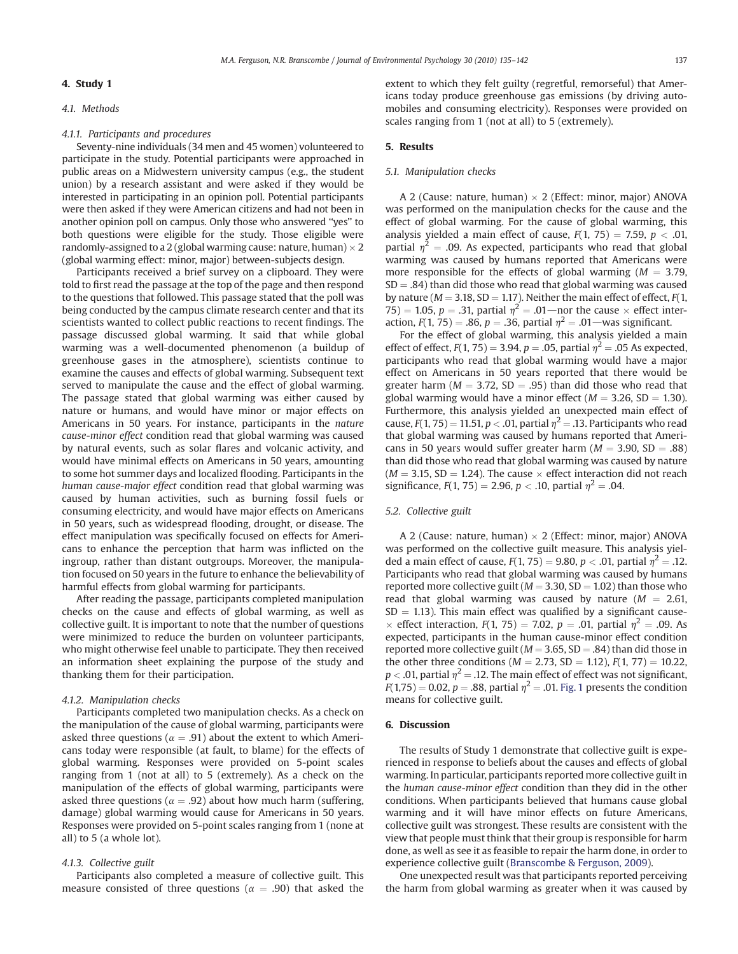# 4.1. Methods

## 4.1.1. Participants and procedures

Seventy-nine individuals (34 men and 45 women) volunteered to participate in the study. Potential participants were approached in public areas on a Midwestern university campus (e.g., the student union) by a research assistant and were asked if they would be interested in participating in an opinion poll. Potential participants were then asked if they were American citizens and had not been in another opinion poll on campus. Only those who answered ''yes'' to both questions were eligible for the study. Those eligible were randomly-assigned to a 2 (global warming cause: nature, human)  $\times$  2 (global warming effect: minor, major) between-subjects design.

Participants received a brief survey on a clipboard. They were told to first read the passage at the top of the page and then respond to the questions that followed. This passage stated that the poll was being conducted by the campus climate research center and that its scientists wanted to collect public reactions to recent findings. The passage discussed global warming. It said that while global warming was a well-documented phenomenon (a buildup of greenhouse gases in the atmosphere), scientists continue to examine the causes and effects of global warming. Subsequent text served to manipulate the cause and the effect of global warming. The passage stated that global warming was either caused by nature or humans, and would have minor or major effects on Americans in 50 years. For instance, participants in the nature cause-minor effect condition read that global warming was caused by natural events, such as solar flares and volcanic activity, and would have minimal effects on Americans in 50 years, amounting to some hot summer days and localized flooding. Participants in the human cause-major effect condition read that global warming was caused by human activities, such as burning fossil fuels or consuming electricity, and would have major effects on Americans in 50 years, such as widespread flooding, drought, or disease. The effect manipulation was specifically focused on effects for Americans to enhance the perception that harm was inflicted on the ingroup, rather than distant outgroups. Moreover, the manipulation focused on 50 years in the future to enhance the believability of harmful effects from global warming for participants.

After reading the passage, participants completed manipulation checks on the cause and effects of global warming, as well as collective guilt. It is important to note that the number of questions were minimized to reduce the burden on volunteer participants, who might otherwise feel unable to participate. They then received an information sheet explaining the purpose of the study and thanking them for their participation.

# 4.1.2. Manipulation checks

Participants completed two manipulation checks. As a check on the manipulation of the cause of global warming, participants were asked three questions ( $\alpha = .91$ ) about the extent to which Americans today were responsible (at fault, to blame) for the effects of global warming. Responses were provided on 5-point scales ranging from 1 (not at all) to 5 (extremely). As a check on the manipulation of the effects of global warming, participants were asked three questions ( $\alpha = .92$ ) about how much harm (suffering, damage) global warming would cause for Americans in 50 years. Responses were provided on 5-point scales ranging from 1 (none at all) to 5 (a whole lot).

#### 4.1.3. Collective guilt

Participants also completed a measure of collective guilt. This measure consisted of three questions ( $\alpha = .90$ ) that asked the scales ranging from 1 (not at all) to 5 (extremely).

## 5. Results

#### 5.1. Manipulation checks

A 2 (Cause: nature, human)  $\times$  2 (Effect: minor, major) ANOVA was performed on the manipulation checks for the cause and the effect of global warming. For the cause of global warming, this analysis yielded a main effect of cause,  $F(1, 75) = 7.59$ ,  $p < .01$ , partial  $\eta^2$  = .09. As expected, participants who read that global warming was caused by humans reported that Americans were more responsible for the effects of global warming ( $M = 3.79$ ,  $SD = .84$ ) than did those who read that global warming was caused by nature ( $M = 3.18$ , SD = 1.17). Neither the main effect of effect,  $F(1, 1)$ 75) = 1.05, p = .31, partial  $\eta^2$  = .01—nor the cause  $\times$  effect interaction,  $F(1, 75) = .86$ ,  $p = .36$ , partial  $\eta^2 = .01$ —was significant.

mobiles and consuming electricity). Responses were provided on

For the effect of global warming, this analysis yielded a main effect of effect,  $F(1, 75) = 3.94$ ,  $p = .05$ , partial  $\eta^2 = .05$  As expected, participants who read that global warming would have a major effect on Americans in 50 years reported that there would be greater harm ( $M = 3.72$ , SD = .95) than did those who read that global warming would have a minor effect ( $M = 3.26$ , SD = 1.30). Furthermore, this analysis yielded an unexpected main effect of cause,  $F(1, 75) = 11.51$ ,  $p < .01$ , partial  $\eta^2 = .13$ . Participants who read that global warming was caused by humans reported that Americans in 50 years would suffer greater harm ( $M = 3.90$ , SD = .88) than did those who read that global warming was caused by nature  $(M = 3.15, SD = 1.24)$ . The cause  $\times$  effect interaction did not reach significance,  $F(1, 75) = 2.96$ ,  $p < .10$ , partial  $n^2 = .04$ .

# 5.2. Collective guilt

A 2 (Cause: nature, human)  $\times$  2 (Effect: minor, major) ANOVA was performed on the collective guilt measure. This analysis yielded a main effect of cause,  $F(1, 75) = 9.80, p < .01$ , partial  $n^2 = .12$ . Participants who read that global warming was caused by humans reported more collective guilt ( $M = 3.30$ , SD = 1.02) than those who read that global warming was caused by nature ( $M = 2.61$ ,  $SD = 1.13$ ). This main effect was qualified by a significant cause- $\times$  effect interaction,  $F(1, 75) = 7.02$ ,  $p = .01$ , partial  $\eta^2 = .09$ . As expected, participants in the human cause-minor effect condition reported more collective guilt ( $M = 3.65$ , SD = .84) than did those in the other three conditions ( $M = 2.73$ , SD = 1.12),  $F(1, 77) = 10.22$ ,  $p < .01$ , partial  $\eta^2 = .12$ . The main effect of effect was not significant,  $F(1,75) = 0.02, p = .88$ , partial  $\eta^2 = .01$ . Fig. 1 presents the condition means for collective guilt.

## 6. Discussion

The results of Study 1 demonstrate that collective guilt is experienced in response to beliefs about the causes and effects of global warming. In particular, participants reported more collective guilt in the human cause-minor effect condition than they did in the other conditions. When participants believed that humans cause global warming and it will have minor effects on future Americans, collective guilt was strongest. These results are consistent with the view that people must think that their group is responsible for harm done, as well as see it as feasible to repair the harm done, in order to experience collective guilt (Branscombe & Ferguson, 2009).

One unexpected result was that participants reported perceiving the harm from global warming as greater when it was caused by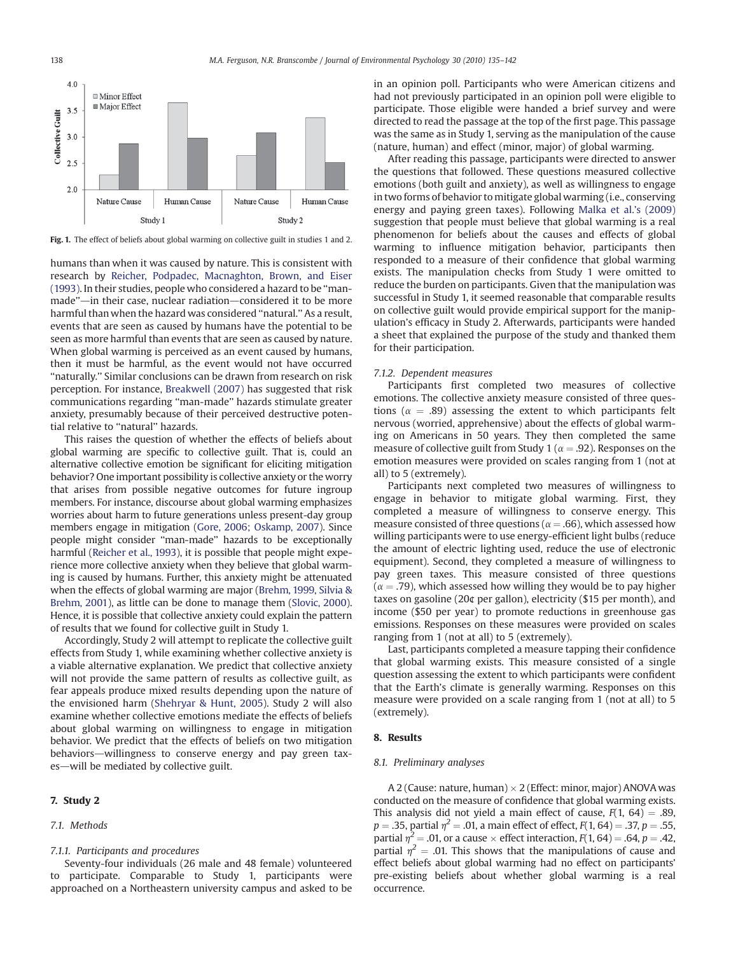

Fig. 1. The effect of beliefs about global warming on collective guilt in studies 1 and 2.

humans than when it was caused by nature. This is consistent with research by Reicher, Podpadec, Macnaghton, Brown, and Eiser (1993). In their studies, people who considered a hazard to be ''manmade"—in their case, nuclear radiation—considered it to be more harmful than when the hazard was considered ''natural.'' As a result, events that are seen as caused by humans have the potential to be seen as more harmful than events that are seen as caused by nature. When global warming is perceived as an event caused by humans, then it must be harmful, as the event would not have occurred ''naturally.'' Similar conclusions can be drawn from research on risk perception. For instance, Breakwell (2007) has suggested that risk communications regarding ''man-made'' hazards stimulate greater anxiety, presumably because of their perceived destructive potential relative to ''natural'' hazards.

This raises the question of whether the effects of beliefs about global warming are specific to collective guilt. That is, could an alternative collective emotion be significant for eliciting mitigation behavior? One important possibility is collective anxiety or the worry that arises from possible negative outcomes for future ingroup members. For instance, discourse about global warming emphasizes worries about harm to future generations unless present-day group members engage in mitigation (Gore, 2006; Oskamp, 2007). Since people might consider ''man-made'' hazards to be exceptionally harmful (Reicher et al., 1993), it is possible that people might experience more collective anxiety when they believe that global warming is caused by humans. Further, this anxiety might be attenuated when the effects of global warming are major (Brehm, 1999, Silvia & Brehm, 2001), as little can be done to manage them (Slovic, 2000). Hence, it is possible that collective anxiety could explain the pattern of results that we found for collective guilt in Study 1.

Accordingly, Study 2 will attempt to replicate the collective guilt effects from Study 1, while examining whether collective anxiety is a viable alternative explanation. We predict that collective anxiety will not provide the same pattern of results as collective guilt, as fear appeals produce mixed results depending upon the nature of the envisioned harm (Shehryar & Hunt, 2005). Study 2 will also examine whether collective emotions mediate the effects of beliefs about global warming on willingness to engage in mitigation behavior. We predict that the effects of beliefs on two mitigation behaviors—willingness to conserve energy and pay green taxes-will be mediated by collective guilt.

## 7. Study 2

## 7.1. Methods

#### 7.1.1. Participants and procedures

Seventy-four individuals (26 male and 48 female) volunteered to participate. Comparable to Study 1, participants were approached on a Northeastern university campus and asked to be in an opinion poll. Participants who were American citizens and had not previously participated in an opinion poll were eligible to participate. Those eligible were handed a brief survey and were directed to read the passage at the top of the first page. This passage was the same as in Study 1, serving as the manipulation of the cause (nature, human) and effect (minor, major) of global warming.

After reading this passage, participants were directed to answer the questions that followed. These questions measured collective emotions (both guilt and anxiety), as well as willingness to engage in two forms of behavior to mitigate global warming (i.e., conserving energy and paying green taxes). Following Malka et al.'s (2009) suggestion that people must believe that global warming is a real phenomenon for beliefs about the causes and effects of global warming to influence mitigation behavior, participants then responded to a measure of their confidence that global warming exists. The manipulation checks from Study 1 were omitted to reduce the burden on participants. Given that the manipulation was successful in Study 1, it seemed reasonable that comparable results on collective guilt would provide empirical support for the manipulation's efficacy in Study 2. Afterwards, participants were handed a sheet that explained the purpose of the study and thanked them for their participation.

#### 7.1.2. Dependent measures

Participants first completed two measures of collective emotions. The collective anxiety measure consisted of three questions ( $\alpha$  = .89) assessing the extent to which participants felt nervous (worried, apprehensive) about the effects of global warming on Americans in 50 years. They then completed the same measure of collective guilt from Study 1 ( $\alpha = .92$ ). Responses on the emotion measures were provided on scales ranging from 1 (not at all) to 5 (extremely).

Participants next completed two measures of willingness to engage in behavior to mitigate global warming. First, they completed a measure of willingness to conserve energy. This measure consisted of three questions ( $\alpha = .66$ ), which assessed how willing participants were to use energy-efficient light bulbs (reduce the amount of electric lighting used, reduce the use of electronic equipment). Second, they completed a measure of willingness to pay green taxes. This measure consisted of three questions  $(\alpha = .79)$ , which assessed how willing they would be to pay higher taxes on gasoline (20¢ per gallon), electricity (\$15 per month), and income (\$50 per year) to promote reductions in greenhouse gas emissions. Responses on these measures were provided on scales ranging from 1 (not at all) to 5 (extremely).

Last, participants completed a measure tapping their confidence that global warming exists. This measure consisted of a single question assessing the extent to which participants were confident that the Earth's climate is generally warming. Responses on this measure were provided on a scale ranging from 1 (not at all) to 5 (extremely).

# 8. Results

### 8.1. Preliminary analyses

 $A 2$  (Cause: nature, human)  $\times$  2 (Effect: minor, major) ANOVA was conducted on the measure of confidence that global warming exists. This analysis did not yield a main effect of cause,  $F(1, 64) = .89$ ,  $p = .35$ , partial  $\eta^2 = .01$ , a main effect of effect,  $F(1, 64) = .37$ ,  $p = .55$ , partial  $\eta^2 = .01$ , or a cause  $\times$  effect interaction,  $F(1, 64) = .64$ ,  $p = .42$ , partial  $\eta^2$  = .01. This shows that the manipulations of cause and effect beliefs about global warming had no effect on participants' pre-existing beliefs about whether global warming is a real occurrence.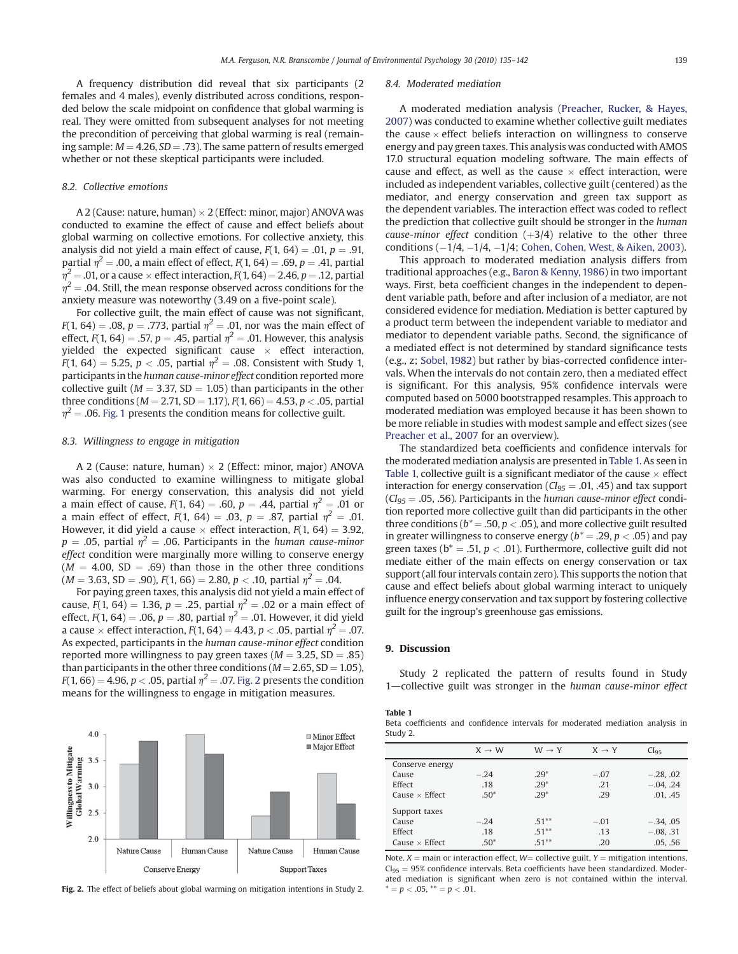A frequency distribution did reveal that six participants (2 females and 4 males), evenly distributed across conditions, responded below the scale midpoint on confidence that global warming is real. They were omitted from subsequent analyses for not meeting the precondition of perceiving that global warming is real (remaining sample:  $M = 4.26$ ,  $SD = .73$ ). The same pattern of results emerged whether or not these skeptical participants were included.

#### 8.2. Collective emotions

 $A$  2 (Cause: nature, human)  $\times$  2 (Effect: minor, major) ANOVA was conducted to examine the effect of cause and effect beliefs about global warming on collective emotions. For collective anxiety, this analysis did not yield a main effect of cause,  $F(1, 64) = .01$ ,  $p = .91$ , partial  $\eta^2 = .00$ , a main effect of effect,  $F(1, 64) = .69$ ,  $p = .41$ , partial  $m_{\tilde{c}}^2 = .01$ , or a cause  $\times$  effect interaction,  $F(1, 64) = 2.46$ ,  $p = .12$ , partial  $\eta^2$  = .04. Still, the mean response observed across conditions for the anxiety measure was noteworthy (3.49 on a five-point scale).

For collective guilt, the main effect of cause was not significant,  $F(1, 64) = .08$ ,  $p = .773$ , partial  $\eta^2 = .01$ , nor was the main effect of effect,  $F(1, 64) = .57$ ,  $p = .45$ , partial  $\eta^2 = .01$ . However, this analysis yielded the expected significant cause  $\times$  effect interaction,  $F(1, 64) = 5.25, p < .05,$  partial  $\eta^2 = .08$ . Consistent with Study 1, participants in the human cause-minor effect condition reported more collective guilt ( $M = 3.37$ , SD = 1.05) than participants in the other three conditions ( $M = 2.71$ , SD = 1.17),  $F(1, 66) = 4.53$ ,  $p < .05$ , partial  $\eta^2$  = .06. Fig. 1 presents the condition means for collective guilt.

### 8.3. Willingness to engage in mitigation

A 2 (Cause: nature, human)  $\times$  2 (Effect: minor, major) ANOVA was also conducted to examine willingness to mitigate global warming. For energy conservation, this analysis did not yield a main effect of cause,  $F(1, 64) = .60$ ,  $p = .44$ , partial  $\eta^2 = .01$  or a main effect of effect,  $F(1, 64) = .03$ ,  $p = .87$ , partial  $\eta^2 = .01$ . However, it did yield a cause  $\times$  effect interaction,  $F(1, 64) = 3.92$ ,  $p = .05$ , partial  $\eta^2 = .06$ . Participants in the human cause-minor effect condition were marginally more willing to conserve energy  $(M = 4.00, SD = .69)$  than those in the other three conditions  $(M = 3.63, SD = .90), F(1, 66) = 2.80, p < .10,$  partial  $\eta^2 = .04$ .

For paying green taxes, this analysis did not yield a main effect of cause,  $F(1, 64) = 1.36$ ,  $p = .25$ , partial  $\eta^2 = .02$  or a main effect of effect,  $F(1, 64) = .06$ ,  $p = .80$ , partial  $\eta^2 = .01$ . However, it did yield a cause  $\times$  effect interaction,  $F(1, 64) = 4.43$ ,  $p < .05$ , partial  $\eta^2 = .07$ . As expected, participants in the human cause-minor effect condition reported more willingness to pay green taxes ( $M = 3.25$ , SD = .85) than participants in the other three conditions ( $M = 2.65$ , SD = 1.05),  $F(1, 66) = 4.96$ ,  $p < .05$ , partial  $\eta^2 = .07$ . Fig. 2 presents the condition means for the willingness to engage in mitigation measures.



Fig. 2. The effect of beliefs about global warming on mitigation intentions in Study 2.

#### 8.4. Moderated mediation

A moderated mediation analysis (Preacher, Rucker, & Hayes, 2007) was conducted to examine whether collective guilt mediates the cause  $\times$  effect beliefs interaction on willingness to conserve energy and pay green taxes. This analysis was conducted with AMOS 17.0 structural equation modeling software. The main effects of cause and effect, as well as the cause  $\times$  effect interaction, were included as independent variables, collective guilt (centered) as the mediator, and energy conservation and green tax support as the dependent variables. The interaction effect was coded to reflect the prediction that collective guilt should be stronger in the human cause-minor effect condition  $(+3/4)$  relative to the other three conditions  $(-1/4, -1/4, -1/4)$ ; Cohen, Cohen, West, & Aiken, 2003).

This approach to moderated mediation analysis differs from traditional approaches (e.g., Baron & Kenny, 1986) in two important ways. First, beta coefficient changes in the independent to dependent variable path, before and after inclusion of a mediator, are not considered evidence for mediation. Mediation is better captured by a product term between the independent variable to mediator and mediator to dependent variable paths. Second, the significance of a mediated effect is not determined by standard significance tests (e.g., z; Sobel, 1982) but rather by bias-corrected confidence intervals. When the intervals do not contain zero, then a mediated effect is significant. For this analysis, 95% confidence intervals were computed based on 5000 bootstrapped resamples. This approach to moderated mediation was employed because it has been shown to be more reliable in studies with modest sample and effect sizes (see Preacher et al., 2007 for an overview).

The standardized beta coefficients and confidence intervals for the moderated mediation analysis are presented inTable 1. As seen in Table 1, collective guilt is a significant mediator of the cause  $\times$  effect interaction for energy conservation ( $CI_{95} = .01, .45$ ) and tax support  $(CI_{95} = .05, .56)$ . Participants in the human cause-minor effect condition reported more collective guilt than did participants in the other three conditions ( $b^* = .50$ ,  $p < .05$ ), and more collective guilt resulted in greater willingness to conserve energy ( $b^* = .29$ ,  $p < .05$ ) and pay green taxes ( $b^* = .51$ ,  $p < .01$ ). Furthermore, collective guilt did not mediate either of the main effects on energy conservation or tax support (all four intervals contain zero). This supports the notion that cause and effect beliefs about global warming interact to uniquely influence energy conservation and tax support by fostering collective guilt for the ingroup's greenhouse gas emissions.

# 9. Discussion

Study 2 replicated the pattern of results found in Study 1-collective guilt was stronger in the human cause-minor effect

#### Table 1

Beta coefficients and confidence intervals for moderated mediation analysis in Study 2.

|                       | $X \rightarrow W$ | $W \rightarrow Y$ | $X \rightarrow Y$ | Cl <sub>95</sub> |
|-----------------------|-------------------|-------------------|-------------------|------------------|
| Conserve energy       |                   |                   |                   |                  |
| Cause                 | $-.24$            | $.29*$            | $-.07$            | $-.28, .02$      |
| Effect                | .18               | $.29*$            | .21               | $-.04, .24$      |
| Cause $\times$ Effect | $.50*$            | $.29*$            | .29               | .01, .45         |
| Support taxes         |                   |                   |                   |                  |
| Cause                 | $-.24$            | $.51***$          | $-.01$            | $-.34, .05$      |
| Effect                | .18               | $.51***$          | .13               | $-.08, .31$      |
| Cause $\times$ Effect | $.50*$            | $.51***$          | .20               | .05, .56         |

Note.  $X =$  main or interaction effect,  $W =$  collective guilt,  $Y =$  mitigation intentions,  $Cl<sub>95</sub> = 95%$  confidence intervals. Beta coefficients have been standardized. Moderated mediation is significant when zero is not contained within the interval.  $^* = p < .05, ^{**} = p < .01.$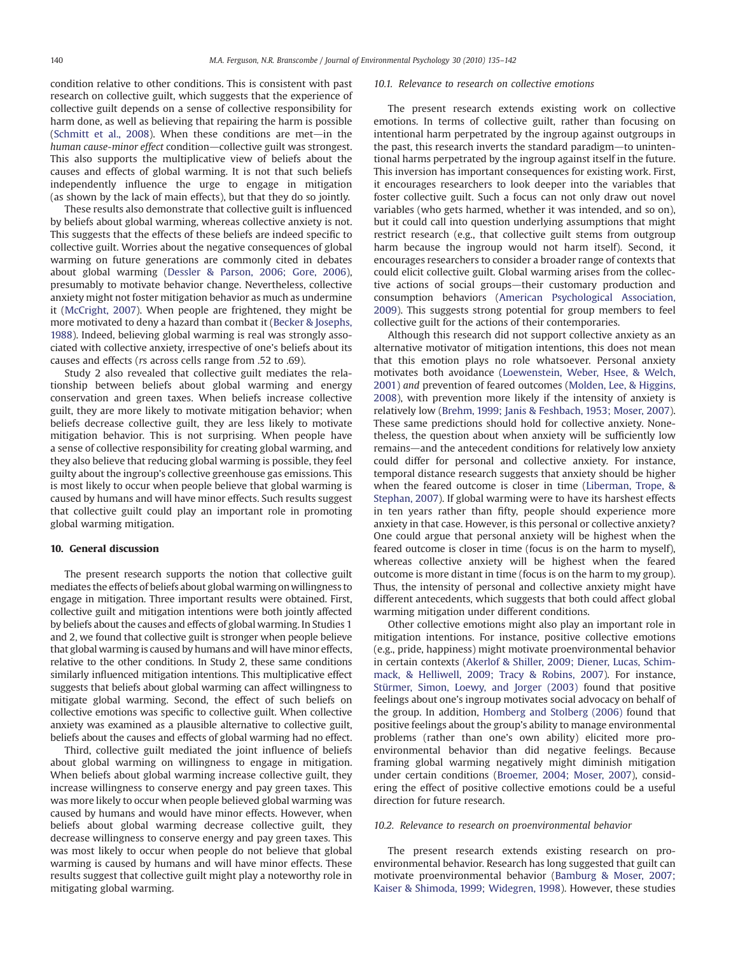condition relative to other conditions. This is consistent with past research on collective guilt, which suggests that the experience of collective guilt depends on a sense of collective responsibility for harm done, as well as believing that repairing the harm is possible (Schmitt et al., 2008). When these conditions are met-in the human cause-minor effect condition—collective guilt was strongest. This also supports the multiplicative view of beliefs about the causes and effects of global warming. It is not that such beliefs independently influence the urge to engage in mitigation (as shown by the lack of main effects), but that they do so jointly.

These results also demonstrate that collective guilt is influenced by beliefs about global warming, whereas collective anxiety is not. This suggests that the effects of these beliefs are indeed specific to collective guilt. Worries about the negative consequences of global warming on future generations are commonly cited in debates about global warming (Dessler & Parson, 2006; Gore, 2006), presumably to motivate behavior change. Nevertheless, collective anxiety might not foster mitigation behavior as much as undermine it (McCright, 2007). When people are frightened, they might be more motivated to deny a hazard than combat it (Becker & Josephs, 1988). Indeed, believing global warming is real was strongly associated with collective anxiety, irrespective of one's beliefs about its causes and effects (rs across cells range from .52 to .69).

Study 2 also revealed that collective guilt mediates the relationship between beliefs about global warming and energy conservation and green taxes. When beliefs increase collective guilt, they are more likely to motivate mitigation behavior; when beliefs decrease collective guilt, they are less likely to motivate mitigation behavior. This is not surprising. When people have a sense of collective responsibility for creating global warming, and they also believe that reducing global warming is possible, they feel guilty about the ingroup's collective greenhouse gas emissions. This is most likely to occur when people believe that global warming is caused by humans and will have minor effects. Such results suggest that collective guilt could play an important role in promoting global warming mitigation.

### 10. General discussion

The present research supports the notion that collective guilt mediates the effects of beliefs about global warming onwillingness to engage in mitigation. Three important results were obtained. First, collective guilt and mitigation intentions were both jointly affected by beliefs about the causes and effects of global warming. In Studies 1 and 2, we found that collective guilt is stronger when people believe that global warming is caused by humans and will have minor effects, relative to the other conditions. In Study 2, these same conditions similarly influenced mitigation intentions. This multiplicative effect suggests that beliefs about global warming can affect willingness to mitigate global warming. Second, the effect of such beliefs on collective emotions was specific to collective guilt. When collective anxiety was examined as a plausible alternative to collective guilt, beliefs about the causes and effects of global warming had no effect.

Third, collective guilt mediated the joint influence of beliefs about global warming on willingness to engage in mitigation. When beliefs about global warming increase collective guilt, they increase willingness to conserve energy and pay green taxes. This was more likely to occur when people believed global warming was caused by humans and would have minor effects. However, when beliefs about global warming decrease collective guilt, they decrease willingness to conserve energy and pay green taxes. This was most likely to occur when people do not believe that global warming is caused by humans and will have minor effects. These results suggest that collective guilt might play a noteworthy role in mitigating global warming.

#### 10.1. Relevance to research on collective emotions

The present research extends existing work on collective emotions. In terms of collective guilt, rather than focusing on intentional harm perpetrated by the ingroup against outgroups in the past, this research inverts the standard paradigm—to unintentional harms perpetrated by the ingroup against itself in the future. This inversion has important consequences for existing work. First, it encourages researchers to look deeper into the variables that foster collective guilt. Such a focus can not only draw out novel variables (who gets harmed, whether it was intended, and so on), but it could call into question underlying assumptions that might restrict research (e.g., that collective guilt stems from outgroup harm because the ingroup would not harm itself). Second, it encourages researchers to consider a broader range of contexts that could elicit collective guilt. Global warming arises from the collective actions of social groups—their customary production and consumption behaviors (American Psychological Association, 2009). This suggests strong potential for group members to feel collective guilt for the actions of their contemporaries.

Although this research did not support collective anxiety as an alternative motivator of mitigation intentions, this does not mean that this emotion plays no role whatsoever. Personal anxiety motivates both avoidance (Loewenstein, Weber, Hsee, & Welch, 2001) and prevention of feared outcomes (Molden, Lee, & Higgins, 2008), with prevention more likely if the intensity of anxiety is relatively low (Brehm, 1999; Janis & Feshbach, 1953; Moser, 2007). These same predictions should hold for collective anxiety. Nonetheless, the question about when anxiety will be sufficiently low remains—and the antecedent conditions for relatively low anxiety could differ for personal and collective anxiety. For instance, temporal distance research suggests that anxiety should be higher when the feared outcome is closer in time (Liberman, Trope, & Stephan, 2007). If global warming were to have its harshest effects in ten years rather than fifty, people should experience more anxiety in that case. However, is this personal or collective anxiety? One could argue that personal anxiety will be highest when the feared outcome is closer in time (focus is on the harm to myself), whereas collective anxiety will be highest when the feared outcome is more distant in time (focus is on the harm to my group). Thus, the intensity of personal and collective anxiety might have different antecedents, which suggests that both could affect global warming mitigation under different conditions.

Other collective emotions might also play an important role in mitigation intentions. For instance, positive collective emotions (e.g., pride, happiness) might motivate proenvironmental behavior in certain contexts (Akerlof & Shiller, 2009; Diener, Lucas, Schimmack, & Helliwell, 2009; Tracy & Robins, 2007). For instance, Stürmer, Simon, Loewy, and Jorger (2003) found that positive feelings about one's ingroup motivates social advocacy on behalf of the group. In addition, Homberg and Stolberg (2006) found that positive feelings about the group's ability to manage environmental problems (rather than one's own ability) elicited more proenvironmental behavior than did negative feelings. Because framing global warming negatively might diminish mitigation under certain conditions (Broemer, 2004; Moser, 2007), considering the effect of positive collective emotions could be a useful direction for future research.

### 10.2. Relevance to research on proenvironmental behavior

The present research extends existing research on proenvironmental behavior. Research has long suggested that guilt can motivate proenvironmental behavior (Bamburg & Moser, 2007; Kaiser & Shimoda, 1999; Widegren, 1998). However, these studies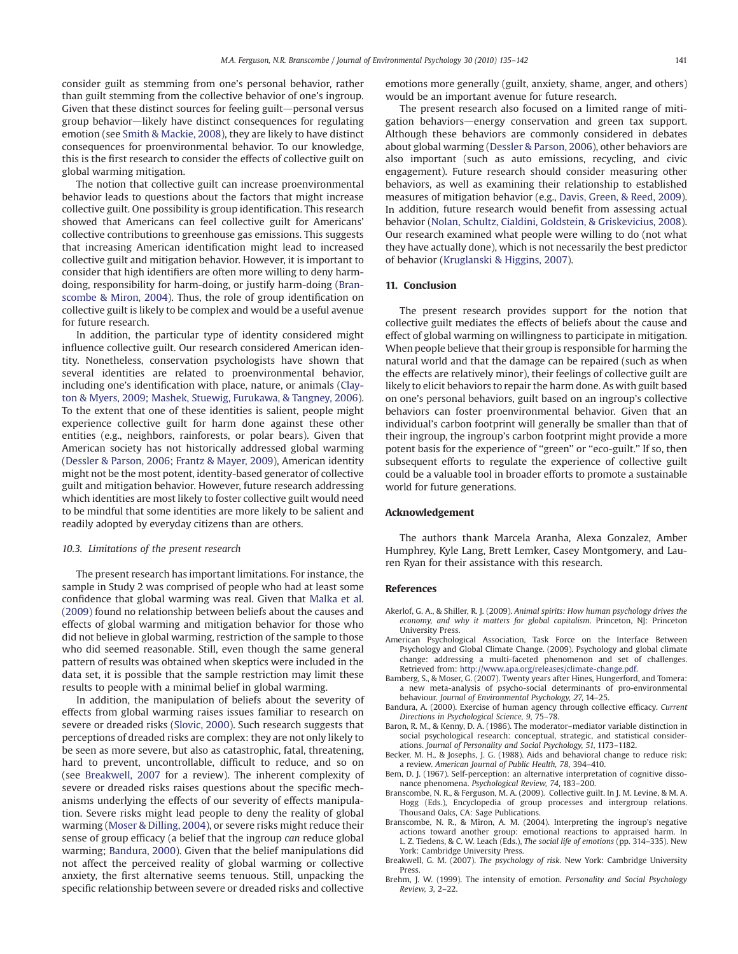consider guilt as stemming from one's personal behavior, rather than guilt stemming from the collective behavior of one's ingroup. Given that these distinct sources for feeling guilt-personal versus group behavior-likely have distinct consequences for regulating emotion (see Smith & Mackie, 2008), they are likely to have distinct consequences for proenvironmental behavior. To our knowledge, this is the first research to consider the effects of collective guilt on global warming mitigation.

The notion that collective guilt can increase proenvironmental behavior leads to questions about the factors that might increase collective guilt. One possibility is group identification. This research showed that Americans can feel collective guilt for Americans' collective contributions to greenhouse gas emissions. This suggests that increasing American identification might lead to increased collective guilt and mitigation behavior. However, it is important to consider that high identifiers are often more willing to deny harmdoing, responsibility for harm-doing, or justify harm-doing (Branscombe & Miron, 2004). Thus, the role of group identification on collective guilt is likely to be complex and would be a useful avenue for future research.

In addition, the particular type of identity considered might influence collective guilt. Our research considered American identity. Nonetheless, conservation psychologists have shown that several identities are related to proenvironmental behavior, including one's identification with place, nature, or animals (Clayton & Myers, 2009; Mashek, Stuewig, Furukawa, & Tangney, 2006). To the extent that one of these identities is salient, people might experience collective guilt for harm done against these other entities (e.g., neighbors, rainforests, or polar bears). Given that American society has not historically addressed global warming (Dessler & Parson, 2006; Frantz & Mayer, 2009), American identity might not be the most potent, identity-based generator of collective guilt and mitigation behavior. However, future research addressing which identities are most likely to foster collective guilt would need to be mindful that some identities are more likely to be salient and readily adopted by everyday citizens than are others.

### 10.3. Limitations of the present research

The present research has important limitations. For instance, the sample in Study 2 was comprised of people who had at least some confidence that global warming was real. Given that Malka et al. (2009) found no relationship between beliefs about the causes and effects of global warming and mitigation behavior for those who did not believe in global warming, restriction of the sample to those who did seemed reasonable. Still, even though the same general pattern of results was obtained when skeptics were included in the data set, it is possible that the sample restriction may limit these results to people with a minimal belief in global warming.

In addition, the manipulation of beliefs about the severity of effects from global warming raises issues familiar to research on severe or dreaded risks (Slovic, 2000). Such research suggests that perceptions of dreaded risks are complex: they are not only likely to be seen as more severe, but also as catastrophic, fatal, threatening, hard to prevent, uncontrollable, difficult to reduce, and so on (see Breakwell, 2007 for a review). The inherent complexity of severe or dreaded risks raises questions about the specific mechanisms underlying the effects of our severity of effects manipulation. Severe risks might lead people to deny the reality of global warming (Moser & Dilling, 2004), or severe risks might reduce their sense of group efficacy (a belief that the ingroup can reduce global warming; Bandura, 2000). Given that the belief manipulations did not affect the perceived reality of global warming or collective anxiety, the first alternative seems tenuous. Still, unpacking the specific relationship between severe or dreaded risks and collective

emotions more generally (guilt, anxiety, shame, anger, and others) would be an important avenue for future research.

The present research also focused on a limited range of mitigation behaviors-energy conservation and green tax support. Although these behaviors are commonly considered in debates about global warming (Dessler & Parson, 2006), other behaviors are also important (such as auto emissions, recycling, and civic engagement). Future research should consider measuring other behaviors, as well as examining their relationship to established measures of mitigation behavior (e.g., Davis, Green, & Reed, 2009). In addition, future research would benefit from assessing actual behavior (Nolan, Schultz, Cialdini, Goldstein, & Griskevicius, 2008). Our research examined what people were willing to do (not what they have actually done), which is not necessarily the best predictor of behavior (Kruglanski & Higgins, 2007).

## 11. Conclusion

The present research provides support for the notion that collective guilt mediates the effects of beliefs about the cause and effect of global warming on willingness to participate in mitigation. When people believe that their group is responsible for harming the natural world and that the damage can be repaired (such as when the effects are relatively minor), their feelings of collective guilt are likely to elicit behaviors to repair the harm done. As with guilt based on one's personal behaviors, guilt based on an ingroup's collective behaviors can foster proenvironmental behavior. Given that an individual's carbon footprint will generally be smaller than that of their ingroup, the ingroup's carbon footprint might provide a more potent basis for the experience of ''green'' or ''eco-guilt.'' If so, then subsequent efforts to regulate the experience of collective guilt could be a valuable tool in broader efforts to promote a sustainable world for future generations.

#### Acknowledgement

The authors thank Marcela Aranha, Alexa Gonzalez, Amber Humphrey, Kyle Lang, Brett Lemker, Casey Montgomery, and Lauren Ryan for their assistance with this research.

#### References

- Akerlof, G. A., & Shiller, R. J. (2009). Animal spirits: How human psychology drives the economy, and why it matters for global capitalism. Princeton, NJ: Princeton University Press.
- American Psychological Association, Task Force on the Interface Between Psychology and Global Climate Change. (2009). Psychology and global climate change: addressing a multi-faceted phenomenon and set of challenges. Retrieved from: http://www.apa.org/releases/climate-change.pdf.
- Bamberg, S., & Moser, G. (2007). Twenty years after Hines, Hungerford, and Tomera: a new meta-analysis of psycho-social determinants of pro-environmental behaviour. Journal of Environmental Psychology, 27, 14–25.
- Bandura, A. (2000). Exercise of human agency through collective efficacy. Current Directions in Psychological Science, 9, 75–78.
- Baron, R. M., & Kenny, D. A. (1986). The moderator–mediator variable distinction in social psychological research: conceptual, strategic, and statistical considerations. Journal of Personality and Social Psychology, 51, 1173–1182.
- Becker, M. H., & Josephs, J. G. (1988). Aids and behavioral change to reduce risk: a review. American Journal of Public Health, 78, 394–410.
- Bem, D. J. (1967). Self-perception: an alternative interpretation of cognitive dissonance phenomena. Psychological Review, 74, 183–200.
- Branscombe, N. R., & Ferguson, M. A. (2009). Collective guilt. In J. M. Levine, & M. A. Hogg (Eds.), Encyclopedia of group processes and intergroup relations. Thousand Oaks, CA: Sage Publications.
- Branscombe, N. R., & Miron, A. M. (2004). Interpreting the ingroup's negative actions toward another group: emotional reactions to appraised harm. In L. Z. Tiedens, & C. W. Leach (Eds.), The social life of emotions (pp. 314–335). New York: Cambridge University Press.
- Breakwell, G. M. (2007). The psychology of risk. New York: Cambridge University Press.
- Brehm, J. W. (1999). The intensity of emotion. Personality and Social Psychology Review, 3, 2–22.